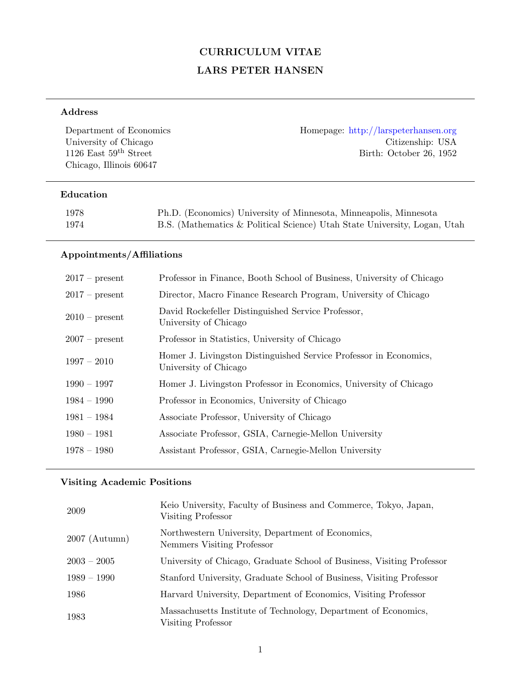# CURRICULUM VITAE LARS PETER HANSEN

#### Address

Department of Economics Homepage: <http://larspeterhansen.org>  $\textrm{University of Chicago} \qquad \qquad \textrm{Citizenship: USA} \\ \textrm{126 East } 59^\textrm{th} \textrm{ Street} \qquad \qquad \textrm{Birth: October } 26, \, 1952 \\ \label{eq:26}$ Birth: October 26, 1952 Chicago, Illinois 60647

#### Education

| 1978 | Ph.D. (Economics) University of Minnesota, Minneapolis, Minnesota         |
|------|---------------------------------------------------------------------------|
| 1974 | B.S. (Mathematics & Political Science) Utah State University, Logan, Utah |

### Appointments/Affiliations

| $2017$ – present | Professor in Finance, Booth School of Business, University of Chicago                      |
|------------------|--------------------------------------------------------------------------------------------|
| $2017$ – present | Director, Macro Finance Research Program, University of Chicago                            |
| $2010$ – present | David Rockefeller Distinguished Service Professor,<br>University of Chicago                |
| $2007$ – present | Professor in Statistics, University of Chicago                                             |
| $1997 - 2010$    | Homer J. Livingston Distinguished Service Professor in Economics,<br>University of Chicago |
| $1990 - 1997$    | Homer J. Livingston Professor in Economics, University of Chicago                          |
| $1984 - 1990$    | Professor in Economics, University of Chicago                                              |
| $1981 - 1984$    | Associate Professor, University of Chicago                                                 |
| $1980 - 1981$    | Associate Professor, GSIA, Carnegie-Mellon University                                      |
| $1978 - 1980$    | Assistant Professor, GSIA, Carnegie-Mellon University                                      |
|                  |                                                                                            |

### Visiting Academic Positions

| 2009            | Keio University, Faculty of Business and Commerce, Tokyo, Japan,<br>Visiting Professor |
|-----------------|----------------------------------------------------------------------------------------|
| $2007$ (Autumn) | Northwestern University, Department of Economics,<br>Nemmers Visiting Professor        |
| $2003 - 2005$   | University of Chicago, Graduate School of Business, Visiting Professor                 |
| $1989 - 1990$   | Stanford University, Graduate School of Business, Visiting Professor                   |
| 1986            | Harvard University, Department of Economics, Visiting Professor                        |
| 1983            | Massachusetts Institute of Technology, Department of Economics,<br>Visiting Professor  |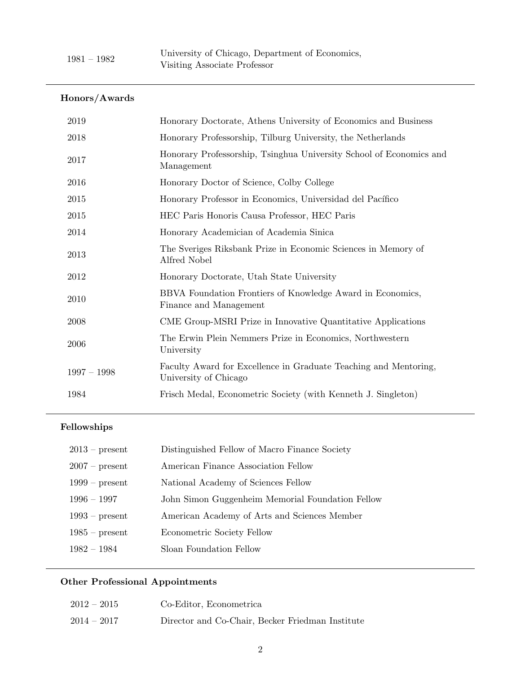### Honors/Awards

| 2019          | Honorary Doctorate, Athens University of Economics and Business                           |
|---------------|-------------------------------------------------------------------------------------------|
| 2018          | Honorary Professorship, Tilburg University, the Netherlands                               |
| 2017          | Honorary Professorship, Tsinghua University School of Economics and<br>Management         |
| 2016          | Honorary Doctor of Science, Colby College                                                 |
| 2015          | Honorary Professor in Economics, Universidad del Pacífico                                 |
| 2015          | HEC Paris Honoris Causa Professor, HEC Paris                                              |
| 2014          | Honorary Academician of Academia Sinica                                                   |
| 2013          | The Sveriges Riksbank Prize in Economic Sciences in Memory of<br>Alfred Nobel             |
| 2012          | Honorary Doctorate, Utah State University                                                 |
| 2010          | BBVA Foundation Frontiers of Knowledge Award in Economics,<br>Finance and Management      |
| 2008          | CME Group-MSRI Prize in Innovative Quantitative Applications                              |
| 2006          | The Erwin Plein Nemmers Prize in Economics, Northwestern<br>University                    |
| $1997 - 1998$ | Faculty Award for Excellence in Graduate Teaching and Mentoring,<br>University of Chicago |
| 1984          | Frisch Medal, Econometric Society (with Kenneth J. Singleton)                             |

## Fellowships

| $2013$ – present | Distinguished Fellow of Macro Finance Society    |
|------------------|--------------------------------------------------|
| $2007$ – present | American Finance Association Fellow              |
| $1999 - present$ | National Academy of Sciences Fellow              |
| $1996 - 1997$    | John Simon Guggenheim Memorial Foundation Fellow |
| $1993$ – present | American Academy of Arts and Sciences Member     |
| $1985$ – present | Econometric Society Fellow                       |
| $1982 - 1984$    | Sloan Foundation Fellow                          |

### Other Professional Appointments

| $2012 - 2015$ | Co-Editor, Econometrica                          |
|---------------|--------------------------------------------------|
| $2014 - 2017$ | Director and Co-Chair, Becker Friedman Institute |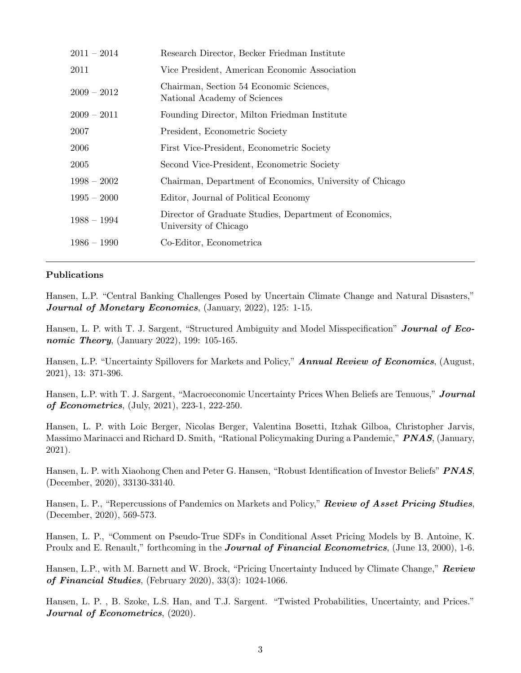| $2011 - 2014$ | Research Director, Becker Friedman Institute                                    |
|---------------|---------------------------------------------------------------------------------|
| 2011          | Vice President, American Economic Association                                   |
| $2009 - 2012$ | Chairman, Section 54 Economic Sciences,<br>National Academy of Sciences         |
| $2009 - 2011$ | Founding Director, Milton Friedman Institute                                    |
| 2007          | President, Econometric Society                                                  |
| 2006          | First Vice-President, Econometric Society                                       |
| <b>2005</b>   | Second Vice-President, Econometric Society                                      |
| $1998 - 2002$ | Chairman, Department of Economics, University of Chicago                        |
| $1995 - 2000$ | Editor, Journal of Political Economy                                            |
| $1988 - 1994$ | Director of Graduate Studies, Department of Economics,<br>University of Chicago |
| $1986 - 1990$ | Co-Editor, Econometrica                                                         |
|               |                                                                                 |

#### Publications

Hansen, L.P. "Central Banking Challenges Posed by Uncertain Climate Change and Natural Disasters," Journal of Monetary Economics, (January, 2022), 125: 1-15.

Hansen, L. P. with T. J. Sargent, "Structured Ambiguity and Model Misspecification" **Journal of Eco***nomic Theory*, (January 2022), 199: 105-165.

Hansen, L.P. "Uncertainty Spillovers for Markets and Policy," **Annual Review of Economics**, (August, 2021), 13: 371-396.

Hansen, L.P. with T. J. Sargent, "Macroeconomic Uncertainty Prices When Beliefs are Tenuous," **Journal** of Econometrics, (July, 2021), 223-1, 222-250.

Hansen, L. P. with Loic Berger, Nicolas Berger, Valentina Bosetti, Itzhak Gilboa, Christopher Jarvis, Massimo Marinacci and Richard D. Smith, "Rational Policymaking During a Pandemic," **PNAS**, (January, 2021).

Hansen, L. P. with Xiaohong Chen and Peter G. Hansen, "Robust Identification of Investor Beliefs" PNAS, (December, 2020), 33130-33140.

Hansen, L. P., "Repercussions of Pandemics on Markets and Policy," Review of Asset Pricing Studies, (December, 2020), 569-573.

Hansen, L. P., "Comment on Pseudo-True SDFs in Conditional Asset Pricing Models by B. Antoine, K. Proulx and E. Renault," forthcoming in the **Journal of Financial Econometrics**, (June 13, 2000), 1-6.

Hansen, L.P., with M. Barnett and W. Brock, "Pricing Uncertainty Induced by Climate Change," Review of Financial Studies, (February 2020),  $33(3)$ : 1024-1066.

Hansen, L. P. , B. Szoke, L.S. Han, and T.J. Sargent. "Twisted Probabilities, Uncertainty, and Prices." Journal of Econometrics, (2020).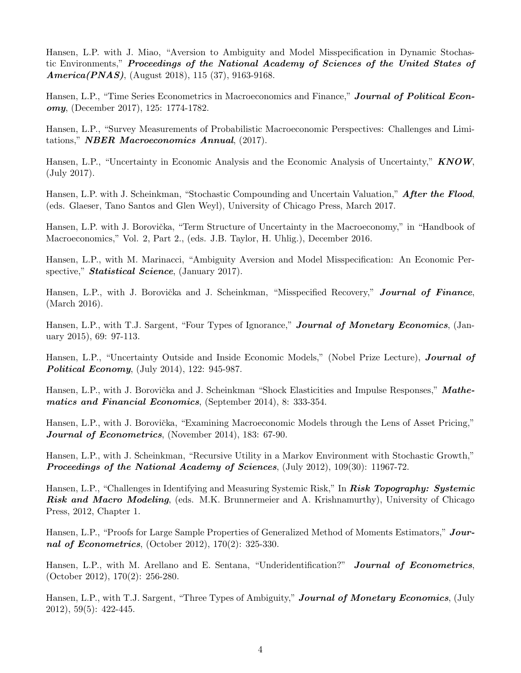Hansen, L.P. with J. Miao, "Aversion to Ambiguity and Model Misspecification in Dynamic Stochastic Environments," Proceedings of the National Academy of Sciences of the United States of **America(PNAS)**, (August 2018), 115 (37), 9163-9168.

Hansen, L.P., "Time Series Econometrics in Macroeconomics and Finance," Journal of Political Economy, (December 2017), 125: 1774-1782.

Hansen, L.P., "Survey Measurements of Probabilistic Macroeconomic Perspectives: Challenges and Limitations," NBER Macroeconomics Annual, (2017).

Hansen, L.P., "Uncertainty in Economic Analysis and the Economic Analysis of Uncertainty," **KNOW**, (July 2017).

Hansen, L.P. with J. Scheinkman, "Stochastic Compounding and Uncertain Valuation," **After the Flood**, (eds. Glaeser, Tano Santos and Glen Weyl), University of Chicago Press, March 2017.

Hansen, L.P. with J. Borovička, "Term Structure of Uncertainty in the Macroeconomy," in "Handbook of Macroeconomics," Vol. 2, Part 2., (eds. J.B. Taylor, H. Uhlig.), December 2016.

Hansen, L.P., with M. Marinacci, "Ambiguity Aversion and Model Misspecification: An Economic Perspective," **Statistical Science**, (January 2017).

Hansen, L.P., with J. Borovička and J. Scheinkman, "Misspecified Recovery," Journal of Finance, (March 2016).

Hansen, L.P., with T.J. Sargent, "Four Types of Ignorance," **Journal of Monetary Economics**, (January 2015), 69: 97-113.

Hansen, L.P., "Uncertainty Outside and Inside Economic Models," (Nobel Prize Lecture), **Journal of** Political Economy, (July 2014), 122: 945-987.

Hansen, L.P., with J. Borovička and J. Scheinkman "Shock Elasticities and Impulse Responses," Mathematics and Financial Economics, (September 2014), 8: 333-354.

Hansen, L.P., with J. Borovička, "Examining Macroeconomic Models through the Lens of Asset Pricing," Journal of Econometrics, (November 2014), 183: 67-90.

Hansen, L.P., with J. Scheinkman, "Recursive Utility in a Markov Environment with Stochastic Growth," Proceedings of the National Academy of Sciences, (July 2012), 109(30): 11967-72.

Hansen, L.P., "Challenges in Identifying and Measuring Systemic Risk," In Risk Topography: Systemic Risk and Macro Modeling, (eds. M.K. Brunnermeier and A. Krishnamurthy), University of Chicago Press, 2012, Chapter 1.

Hansen, L.P., "Proofs for Large Sample Properties of Generalized Method of Moments Estimators," Journal of Econometrics, (October 2012), 170(2): 325-330.

Hansen, L.P., with M. Arellano and E. Sentana, "Underidentification?" Journal of Econometrics, (October 2012), 170(2): 256-280.

Hansen, L.P., with T.J. Sargent, "Three Types of Ambiguity," **Journal of Monetary Economics**, (July 2012), 59(5): 422-445.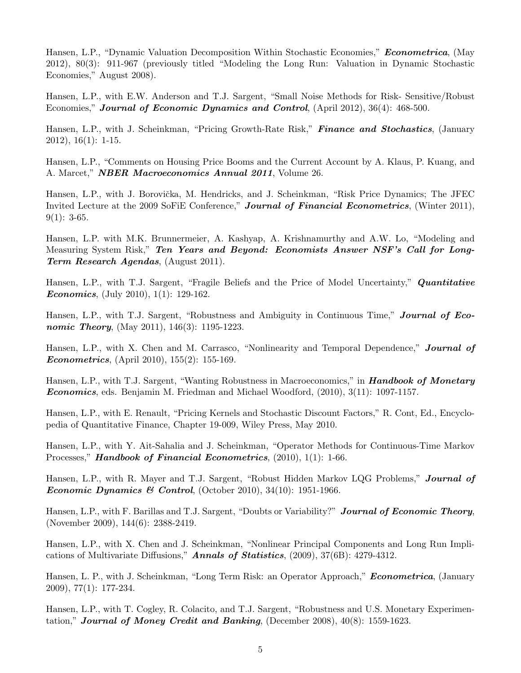Hansen, L.P., "Dynamic Valuation Decomposition Within Stochastic Economies," *Econometrica*, (May 2012), 80(3): 911-967 (previously titled "Modeling the Long Run: Valuation in Dynamic Stochastic Economies," August 2008).

Hansen, L.P., with E.W. Anderson and T.J. Sargent, "Small Noise Methods for Risk- Sensitive/Robust Economies," Journal of Economic Dynamics and Control, (April 2012), 36(4): 468-500.

Hansen, L.P., with J. Scheinkman, "Pricing Growth-Rate Risk," Finance and Stochastics, (January 2012), 16(1): 1-15.

Hansen, L.P., "Comments on Housing Price Booms and the Current Account by A. Klaus, P. Kuang, and A. Marcet," NBER Macroeconomics Annual 2011, Volume 26.

Hansen, L.P., with J. Borovička, M. Hendricks, and J. Scheinkman, "Risk Price Dynamics; The JFEC Invited Lecture at the 2009 SoFiE Conference," Journal of Financial Econometrics, (Winter 2011),  $9(1): 3-65.$ 

Hansen, L.P. with M.K. Brunnermeier, A. Kashyap, A. Krishnamurthy and A.W. Lo, "Modeling and Measuring System Risk," Ten Years and Beyond: Economists Answer NSF's Call for Long-Term Research Agendas, (August 2011).

Hansen, L.P., with T.J. Sargent, "Fragile Beliefs and the Price of Model Uncertainty," *Quantitative* Economics, (July 2010), 1(1): 129-162.

Hansen, L.P., with T.J. Sargent, "Robustness and Ambiguity in Continuous Time," **Journal of Eco**nomic Theory, (May 2011), 146(3): 1195-1223.

Hansen, L.P., with X. Chen and M. Carrasco, "Nonlinearity and Temporal Dependence," Journal of Econometrics, (April 2010), 155(2): 155-169.

Hansen, L.P., with T.J. Sargent, "Wanting Robustness in Macroeconomics," in **Handbook of Monetary** Economics, eds. Benjamin M. Friedman and Michael Woodford, (2010), 3(11): 1097-1157.

Hansen, L.P., with E. Renault, "Pricing Kernels and Stochastic Discount Factors," R. Cont, Ed., Encyclopedia of Quantitative Finance, Chapter 19-009, Wiley Press, May 2010.

Hansen, L.P., with Y. Ait-Sahalia and J. Scheinkman, "Operator Methods for Continuous-Time Markov Processes," Handbook of Financial Econometrics, (2010), 1(1): 1-66.

Hansen, L.P., with R. Mayer and T.J. Sargent, "Robust Hidden Markov LQG Problems," Journal of Economic Dynamics & Control, (October 2010), 34(10): 1951-1966.

Hansen, L.P., with F. Barillas and T.J. Sargent, "Doubts or Variability?" Journal of Economic Theory, (November 2009), 144(6): 2388-2419.

Hansen, L.P., with X. Chen and J. Scheinkman, "Nonlinear Principal Components and Long Run Implications of Multivariate Diffusions," **Annals of Statistics**,  $(2009)$ ,  $37(6B)$ :  $4279-4312$ .

Hansen, L. P., with J. Scheinkman, "Long Term Risk: an Operator Approach," Econometrica, (January 2009), 77(1): 177-234.

Hansen, L.P., with T. Cogley, R. Colacito, and T.J. Sargent, "Robustness and U.S. Monetary Experimentation," Journal of Money Credit and Banking, (December 2008),  $40(8)$ : 1559-1623.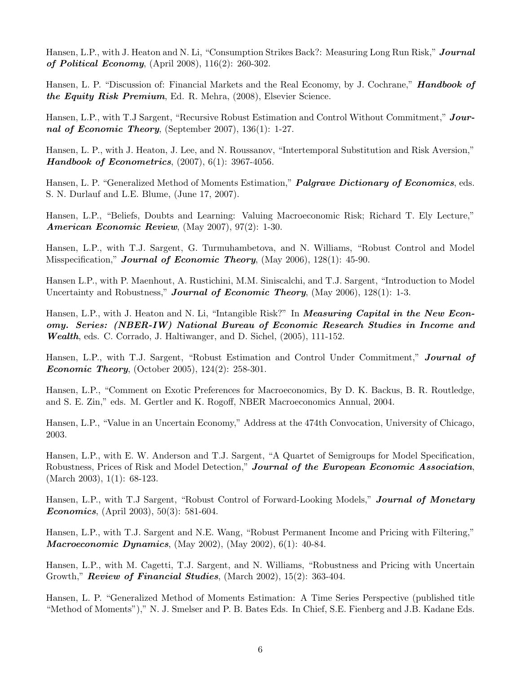Hansen, L.P., with J. Heaton and N. Li, "Consumption Strikes Back?: Measuring Long Run Risk," **Journal** of Political Economy, (April 2008),  $116(2)$ : 260-302.

Hansen, L. P. "Discussion of: Financial Markets and the Real Economy, by J. Cochrane," **Handbook of** the Equity Risk Premium, Ed. R. Mehra, (2008), Elsevier Science.

Hansen, L.P., with T.J Sargent, "Recursive Robust Estimation and Control Without Commitment," Journal of Economic Theory, (September 2007),  $136(1)$ : 1-27.

Hansen, L. P., with J. Heaton, J. Lee, and N. Roussanov, "Intertemporal Substitution and Risk Aversion," **Handbook of Econometrics**,  $(2007)$ ,  $6(1)$ : 3967-4056.

Hansen, L. P. "Generalized Method of Moments Estimation," *Palgrave Dictionary of Economics*, eds. S. N. Durlauf and L.E. Blume, (June 17, 2007).

Hansen, L.P., "Beliefs, Doubts and Learning: Valuing Macroeconomic Risk; Richard T. Ely Lecture," American Economic Review, (May 2007), 97(2): 1-30.

Hansen, L.P., with T.J. Sargent, G. Turmuhambetova, and N. Williams, "Robust Control and Model Misspecification," **Journal of Economic Theory**, (May 2006),  $128(1)$ : 45-90.

Hansen L.P., with P. Maenhout, A. Rustichini, M.M. Siniscalchi, and T.J. Sargent, "Introduction to Model Uncertainty and Robustness," **Journal of Economic Theory**, (May 2006), 128(1): 1-3.

Hansen, L.P., with J. Heaton and N. Li, "Intangible Risk?" In *Measuring Capital in the New Econ*omy. Series: (NBER-IW) National Bureau of Economic Research Studies in Income and Wealth, eds. C. Corrado, J. Haltiwanger, and D. Sichel, (2005), 111-152.

Hansen, L.P., with T.J. Sargent, "Robust Estimation and Control Under Commitment," Journal of *Economic Theory*, (October 2005), 124(2): 258-301.

Hansen, L.P., "Comment on Exotic Preferences for Macroeconomics, By D. K. Backus, B. R. Routledge, and S. E. Zin," eds. M. Gertler and K. Rogoff, NBER Macroeconomics Annual, 2004.

Hansen, L.P., "Value in an Uncertain Economy," Address at the 474th Convocation, University of Chicago, 2003.

Hansen, L.P., with E. W. Anderson and T.J. Sargent, "A Quartet of Semigroups for Model Specification, Robustness, Prices of Risk and Model Detection," Journal of the European Economic Association, (March 2003), 1(1): 68-123.

Hansen, L.P., with T.J Sargent, "Robust Control of Forward-Looking Models," Journal of Monetary *Economics*, (April 2003), 50(3): 581-604.

Hansen, L.P., with T.J. Sargent and N.E. Wang, "Robust Permanent Income and Pricing with Filtering," **Macroeconomic Dynamics**, (May 2002), (May 2002),  $6(1)$ : 40-84.

Hansen, L.P., with M. Cagetti, T.J. Sargent, and N. Williams, "Robustness and Pricing with Uncertain Growth," Review of Financial Studies, (March 2002), 15(2): 363-404.

Hansen, L. P. "Generalized Method of Moments Estimation: A Time Series Perspective (published title "Method of Moments")," N. J. Smelser and P. B. Bates Eds. In Chief, S.E. Fienberg and J.B. Kadane Eds.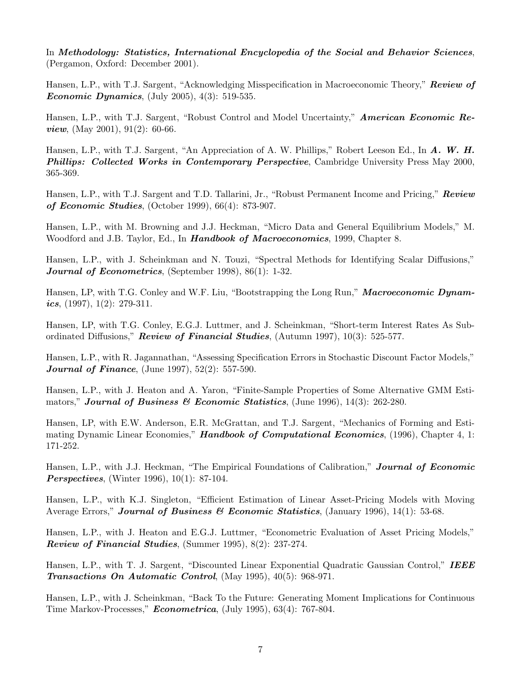In Methodology: Statistics, International Encyclopedia of the Social and Behavior Sciences, (Pergamon, Oxford: December 2001).

Hansen, L.P., with T.J. Sargent, "Acknowledging Misspecification in Macroeconomic Theory," Review of *Economic Dynamics*, (July 2005),  $4(3)$ : 519-535.

Hansen, L.P., with T.J. Sargent, "Robust Control and Model Uncertainty," American Economic Re*view*, (May 2001), 91(2): 60-66.

Hansen, L.P., with T.J. Sargent, "An Appreciation of A. W. Phillips," Robert Leeson Ed., In A. W. H. **Phillips: Collected Works in Contemporary Perspective, Cambridge University Press May 2000,** 365-369.

Hansen, L.P., with T.J. Sargent and T.D. Tallarini, Jr., "Robust Permanent Income and Pricing," Review of Economic Studies, (October 1999), 66(4): 873-907.

Hansen, L.P., with M. Browning and J.J. Heckman, "Micro Data and General Equilibrium Models," M. Woodford and J.B. Taylor, Ed., In **Handbook of Macroeconomics**, 1999, Chapter 8.

Hansen, L.P., with J. Scheinkman and N. Touzi, "Spectral Methods for Identifying Scalar Diffusions," Journal of Econometrics, (September 1998), 86(1): 1-32.

Hansen, LP, with T.G. Conley and W.F. Liu, "Bootstrapping the Long Run," Macroeconomic Dynamics,  $(1997), 1(2): 279-311.$ 

Hansen, LP, with T.G. Conley, E.G.J. Luttmer, and J. Scheinkman, "Short-term Interest Rates As Subordinated Diffusions," **Review of Financial Studies**, (Autumn 1997), 10(3): 525-577.

Hansen, L.P., with R. Jagannathan, "Assessing Specification Errors in Stochastic Discount Factor Models," **Journal of Finance**, (June 1997), 52(2): 557-590.

Hansen, L.P., with J. Heaton and A. Yaron, "Finite-Sample Properties of Some Alternative GMM Estimators," Journal of Business & Economic Statistics, (June 1996), 14(3): 262-280.

Hansen, LP, with E.W. Anderson, E.R. McGrattan, and T.J. Sargent, "Mechanics of Forming and Estimating Dynamic Linear Economies," Handbook of Computational Economics, (1996), Chapter 4, 1: 171-252.

Hansen, L.P., with J.J. Heckman, "The Empirical Foundations of Calibration," Journal of Economic **Perspectives**, (Winter 1996), 10(1): 87-104.

Hansen, L.P., with K.J. Singleton, "Efficient Estimation of Linear Asset-Pricing Models with Moving Average Errors," Journal of Business & Economic Statistics, (January 1996), 14(1): 53-68.

Hansen, L.P., with J. Heaton and E.G.J. Luttmer, "Econometric Evaluation of Asset Pricing Models," Review of Financial Studies, (Summer 1995), 8(2): 237-274.

Hansen, L.P., with T. J. Sargent, "Discounted Linear Exponential Quadratic Gaussian Control," IEEE **Transactions On Automatic Control**, (May 1995),  $40(5)$ : 968-971.

Hansen, L.P., with J. Scheinkman, "Back To the Future: Generating Moment Implications for Continuous Time Markov-Processes," Econometrica, (July 1995), 63(4): 767-804.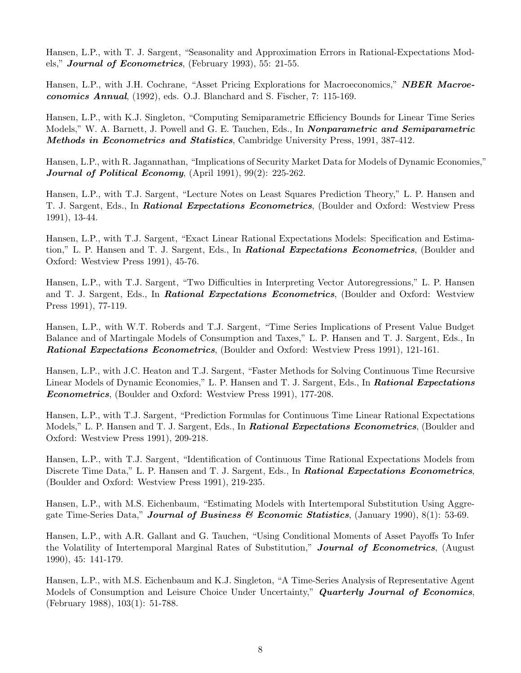Hansen, L.P., with T. J. Sargent, "Seasonality and Approximation Errors in Rational-Expectations Models," Journal of Econometrics, (February 1993), 55: 21-55.

Hansen, L.P., with J.H. Cochrane, "Asset Pricing Explorations for Macroeconomics," **NBER Macroe**conomics Annual,  $(1992)$ , eds. O.J. Blanchard and S. Fischer, 7: 115-169.

Hansen, L.P., with K.J. Singleton, "Computing Semiparametric Efficiency Bounds for Linear Time Series Models," W. A. Barnett, J. Powell and G. E. Tauchen, Eds., In **Nonparametric and Semiparametric** Methods in Econometrics and Statistics, Cambridge University Press, 1991, 387-412.

Hansen, L.P., with R. Jagannathan, "Implications of Security Market Data for Models of Dynamic Economies," Journal of Political Economy, (April 1991), 99(2): 225-262.

Hansen, L.P., with T.J. Sargent, "Lecture Notes on Least Squares Prediction Theory," L. P. Hansen and T. J. Sargent, Eds., In Rational Expectations Econometrics, (Boulder and Oxford: Westview Press 1991), 13-44.

Hansen, L.P., with T.J. Sargent, "Exact Linear Rational Expectations Models: Specification and Estimation," L. P. Hansen and T. J. Sargent, Eds., In **Rational Expectations Econometrics**, (Boulder and Oxford: Westview Press 1991), 45-76.

Hansen, L.P., with T.J. Sargent, "Two Difficulties in Interpreting Vector Autoregressions," L. P. Hansen and T. J. Sargent, Eds., In **Rational Expectations Econometrics**, (Boulder and Oxford: Westview Press 1991), 77-119.

Hansen, L.P., with W.T. Roberds and T.J. Sargent, "Time Series Implications of Present Value Budget Balance and of Martingale Models of Consumption and Taxes," L. P. Hansen and T. J. Sargent, Eds., In Rational Expectations Econometrics, (Boulder and Oxford: Westview Press 1991), 121-161.

Hansen, L.P., with J.C. Heaton and T.J. Sargent, "Faster Methods for Solving Continuous Time Recursive Linear Models of Dynamic Economies," L. P. Hansen and T. J. Sargent, Eds., In Rational Expectations Econometrics, (Boulder and Oxford: Westview Press 1991), 177-208.

Hansen, L.P., with T.J. Sargent, "Prediction Formulas for Continuous Time Linear Rational Expectations Models," L. P. Hansen and T. J. Sargent, Eds., In *Rational Expectations Econometrics*, (Boulder and Oxford: Westview Press 1991), 209-218.

Hansen, L.P., with T.J. Sargent, "Identification of Continuous Time Rational Expectations Models from Discrete Time Data," L. P. Hansen and T. J. Sargent, Eds., In **Rational Expectations Econometrics**, (Boulder and Oxford: Westview Press 1991), 219-235.

Hansen, L.P., with M.S. Eichenbaum, "Estimating Models with Intertemporal Substitution Using Aggregate Time-Series Data," Journal of Business & Economic Statistics, (January 1990),  $8(1)$ : 53-69.

Hansen, L.P., with A.R. Gallant and G. Tauchen, "Using Conditional Moments of Asset Payoffs To Infer the Volatility of Intertemporal Marginal Rates of Substitution," **Journal of Econometrics**, (August 1990), 45: 141-179.

Hansen, L.P., with M.S. Eichenbaum and K.J. Singleton, "A Time-Series Analysis of Representative Agent Models of Consumption and Leisure Choice Under Uncertainty," Quarterly Journal of Economics, (February 1988), 103(1): 51-788.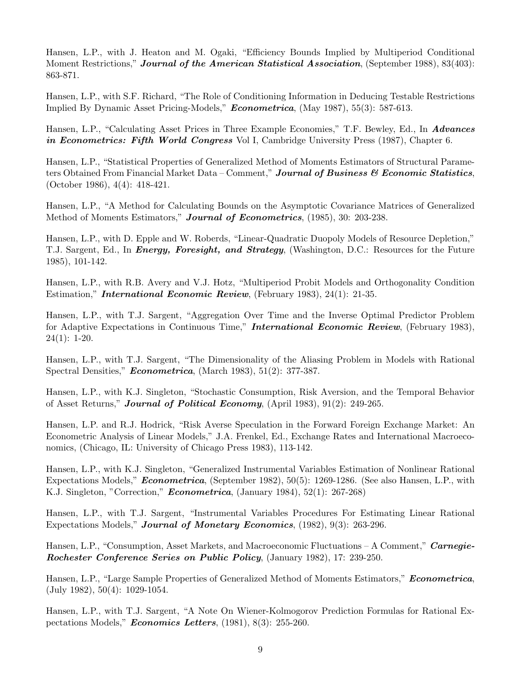Hansen, L.P., with J. Heaton and M. Ogaki, "Efficiency Bounds Implied by Multiperiod Conditional Moment Restrictions," **Journal of the American Statistical Association**, (September 1988), 83(403): 863-871.

Hansen, L.P., with S.F. Richard, "The Role of Conditioning Information in Deducing Testable Restrictions Implied By Dynamic Asset Pricing-Models," Econometrica, (May 1987), 55(3): 587-613.

Hansen, L.P., "Calculating Asset Prices in Three Example Economies," T.F. Bewley, Ed., In *Advances* in Econometrics: Fifth World Congress Vol I, Cambridge University Press (1987), Chapter 6.

Hansen, L.P., "Statistical Properties of Generalized Method of Moments Estimators of Structural Parameters Obtained From Financial Market Data – Comment," Journal of Business & Economic Statistics, (October 1986), 4(4): 418-421.

Hansen, L.P., "A Method for Calculating Bounds on the Asymptotic Covariance Matrices of Generalized Method of Moments Estimators," **Journal of Econometrics**, (1985), 30: 203-238.

Hansen, L.P., with D. Epple and W. Roberds, "Linear-Quadratic Duopoly Models of Resource Depletion," T.J. Sargent, Ed., In *Energy, Foresight, and Strategy*, (Washington, D.C.: Resources for the Future 1985), 101-142.

Hansen, L.P., with R.B. Avery and V.J. Hotz, "Multiperiod Probit Models and Orthogonality Condition Estimation," International Economic Review, (February 1983), 24(1): 21-35.

Hansen, L.P., with T.J. Sargent, "Aggregation Over Time and the Inverse Optimal Predictor Problem for Adaptive Expectations in Continuous Time," **International Economic Review**, (February 1983),  $24(1): 1-20.$ 

Hansen, L.P., with T.J. Sargent, "The Dimensionality of the Aliasing Problem in Models with Rational Spectral Densities," Econometrica, (March 1983), 51(2): 377-387.

Hansen, L.P., with K.J. Singleton, "Stochastic Consumption, Risk Aversion, and the Temporal Behavior of Asset Returns," **Journal of Political Economy**, (April 1983),  $91(2)$ : 249-265.

Hansen, L.P. and R.J. Hodrick, "Risk Averse Speculation in the Forward Foreign Exchange Market: An Econometric Analysis of Linear Models," J.A. Frenkel, Ed., Exchange Rates and International Macroeconomics, (Chicago, IL: University of Chicago Press 1983), 113-142.

Hansen, L.P., with K.J. Singleton, "Generalized Instrumental Variables Estimation of Nonlinear Rational Expectations Models," **Econometrica**, (September 1982), 50(5): 1269-1286. (See also Hansen, L.P., with K.J. Singleton, "Correction," **Econometrica**, (January 1984), 52(1): 267-268)

Hansen, L.P., with T.J. Sargent, "Instrumental Variables Procedures For Estimating Linear Rational Expectations Models," **Journal of Monetary Economics**, (1982), 9(3): 263-296.

Hansen, L.P., "Consumption, Asset Markets, and Macroeconomic Fluctuations – A Comment," Carnegie-Rochester Conference Series on Public Policy, (January 1982), 17: 239-250.

Hansen, L.P., "Large Sample Properties of Generalized Method of Moments Estimators," *Econometrica*, (July 1982), 50(4): 1029-1054.

Hansen, L.P., with T.J. Sargent, "A Note On Wiener-Kolmogorov Prediction Formulas for Rational Expectations Models," Economics Letters, (1981), 8(3): 255-260.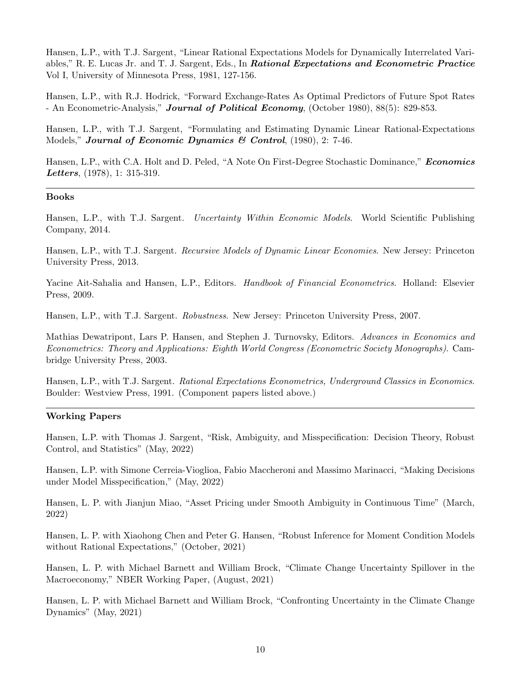Hansen, L.P., with T.J. Sargent, "Linear Rational Expectations Models for Dynamically Interrelated Variables," R. E. Lucas Jr. and T. J. Sargent, Eds., In **Rational Expectations and Econometric Practice** Vol I, University of Minnesota Press, 1981, 127-156.

Hansen, L.P., with R.J. Hodrick, "Forward Exchange-Rates As Optimal Predictors of Future Spot Rates - An Econometric-Analysis," **Journal of Political Economy**, (October 1980), 88(5): 829-853.

Hansen, L.P., with T.J. Sargent, "Formulating and Estimating Dynamic Linear Rational-Expectations Models," **Journal of Economic Dynamics & Control**, (1980), 2: 7-46.

Hansen, L.P., with C.A. Holt and D. Peled, "A Note On First-Degree Stochastic Dominance," Economics Letters, (1978), 1: 315-319.

#### Books

Hansen, L.P., with T.J. Sargent. *Uncertainty Within Economic Models*. World Scientific Publishing Company, 2014.

Hansen, L.P., with T.J. Sargent. Recursive Models of Dynamic Linear Economies. New Jersey: Princeton University Press, 2013.

Yacine Ait-Sahalia and Hansen, L.P., Editors. *Handbook of Financial Econometrics*. Holland: Elsevier Press, 2009.

Hansen, L.P., with T.J. Sargent. Robustness. New Jersey: Princeton University Press, 2007.

Mathias Dewatripont, Lars P. Hansen, and Stephen J. Turnovsky, Editors. Advances in Economics and Econometrics: Theory and Applications: Eighth World Congress (Econometric Society Monographs). Cambridge University Press, 2003.

Hansen, L.P., with T.J. Sargent. Rational Expectations Econometrics, Underground Classics in Economics. Boulder: Westview Press, 1991. (Component papers listed above.)

#### Working Papers

Hansen, L.P. with Thomas J. Sargent, "Risk, Ambiguity, and Misspecification: Decision Theory, Robust Control, and Statistics" (May, 2022)

Hansen, L.P. with Simone Cerreia-Vioglioa, Fabio Maccheroni and Massimo Marinacci, "Making Decisions under Model Misspecification," (May, 2022)

Hansen, L. P. with Jianjun Miao, "Asset Pricing under Smooth Ambiguity in Continuous Time" (March, 2022)

Hansen, L. P. with Xiaohong Chen and Peter G. Hansen, "Robust Inference for Moment Condition Models without Rational Expectations," (October, 2021)

Hansen, L. P. with Michael Barnett and William Brock, "Climate Change Uncertainty Spillover in the Macroeconomy," NBER Working Paper, (August, 2021)

Hansen, L. P. with Michael Barnett and William Brock, "Confronting Uncertainty in the Climate Change Dynamics" (May, 2021)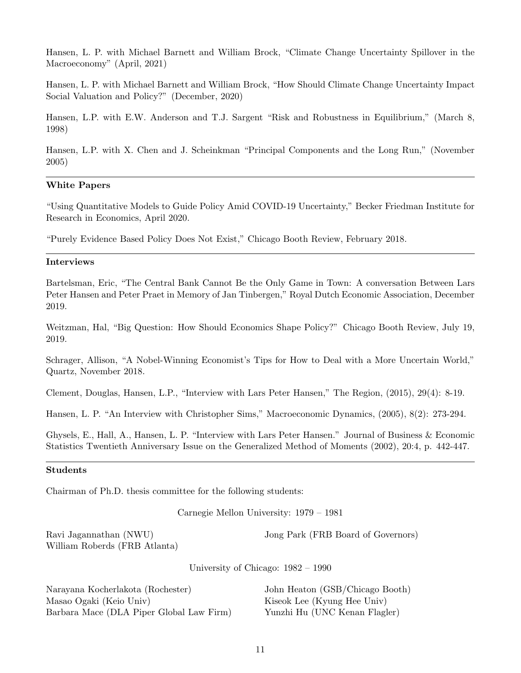Hansen, L. P. with Michael Barnett and William Brock, "Climate Change Uncertainty Spillover in the Macroeconomy" (April, 2021)

Hansen, L. P. with Michael Barnett and William Brock, "How Should Climate Change Uncertainty Impact Social Valuation and Policy?" (December, 2020)

Hansen, L.P. with E.W. Anderson and T.J. Sargent "Risk and Robustness in Equilibrium," (March 8, 1998)

Hansen, L.P. with X. Chen and J. Scheinkman "Principal Components and the Long Run," (November 2005)

#### White Papers

"Using Quantitative Models to Guide Policy Amid COVID-19 Uncertainty," Becker Friedman Institute for Research in Economics, April 2020.

"Purely Evidence Based Policy Does Not Exist," Chicago Booth Review, February 2018.

#### Interviews

Bartelsman, Eric, "The Central Bank Cannot Be the Only Game in Town: A conversation Between Lars Peter Hansen and Peter Praet in Memory of Jan Tinbergen," Royal Dutch Economic Association, December 2019.

Weitzman, Hal, "Big Question: How Should Economics Shape Policy?" Chicago Booth Review, July 19, 2019.

Schrager, Allison, "A Nobel-Winning Economist's Tips for How to Deal with a More Uncertain World," Quartz, November 2018.

Clement, Douglas, Hansen, L.P., "Interview with Lars Peter Hansen," The Region, (2015), 29(4): 8-19.

Hansen, L. P. "An Interview with Christopher Sims," Macroeconomic Dynamics, (2005), 8(2): 273-294.

Ghysels, E., Hall, A., Hansen, L. P. "Interview with Lars Peter Hansen." Journal of Business & Economic Statistics Twentieth Anniversary Issue on the Generalized Method of Moments (2002), 20:4, p. 442-447.

#### Students

Chairman of Ph.D. thesis committee for the following students:

Carnegie Mellon University: 1979 – 1981

Ravi Jagannathan (NWU) William Roberds (FRB Atlanta) Jong Park (FRB Board of Governors)

University of Chicago: 1982 – 1990

| Narayana Kocherlakota (Rochester)        | John Heaton (GSB/Chicago Booth) |
|------------------------------------------|---------------------------------|
| Masao Ogaki (Keio Univ)                  | Kiseok Lee (Kyung Hee Univ)     |
| Barbara Mace (DLA Piper Global Law Firm) | Yunzhi Hu (UNC Kenan Flagler)   |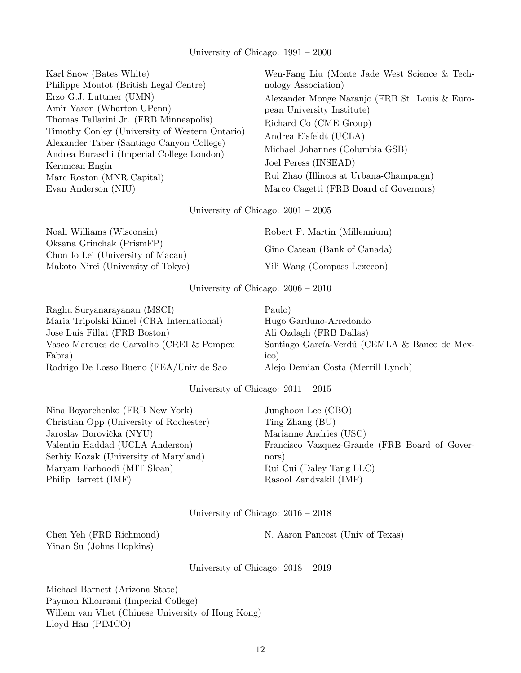#### University of Chicago: 1991 – 2000

Karl Snow (Bates White) Philippe Moutot (British Legal Centre) Erzo G.J. Luttmer (UMN) Amir Yaron (Wharton UPenn) Thomas Tallarini Jr. (FRB Minneapolis) Timothy Conley (University of Western Ontario) Alexander Taber (Santiago Canyon College) Andrea Buraschi (Imperial College London) Kerimcan Engin Marc Roston (MNR Capital) Evan Anderson (NIU)

Wen-Fang Liu (Monte Jade West Science & Technology Association) Alexander Monge Naranjo (FRB St. Louis & European University Institute) Richard Co (CME Group) Andrea Eisfeldt (UCLA) Michael Johannes (Columbia GSB) Joel Peress (INSEAD) Rui Zhao (Illinois at Urbana-Champaign) Marco Cagetti (FRB Board of Governors)

University of Chicago: 2001 – 2005

| Noah Williams (Wisconsin)                                      | Robert F. Martin (Millennium) |
|----------------------------------------------------------------|-------------------------------|
| Oksana Grinchak (PrismFP)<br>Chon Io Lei (University of Macau) | Gino Cateau (Bank of Canada)  |
| Makoto Nirei (University of Tokyo)                             | Yili Wang (Compass Lexecon)   |

University of Chicago: 2006 – 2010

Raghu Suryanarayanan (MSCI) Maria Tripolski Kimel (CRA International) Jose Luis Fillat (FRB Boston) Vasco Marques de Carvalho (CREI & Pompeu Fabra) Rodrigo De Losso Bueno (FEA/Univ de Sao

Paulo) Hugo Garduno-Arredondo Ali Ozdagli (FRB Dallas) Santiago García-Verdú (CEMLA & Banco de Mexico) Alejo Demian Costa (Merrill Lynch)

University of Chicago: 2011 – 2015

Nina Boyarchenko (FRB New York) Christian Opp (University of Rochester) Jaroslav Borovička (NYU) Valentin Haddad (UCLA Anderson) Serhiy Kozak (University of Maryland) Maryam Farboodi (MIT Sloan) Philip Barrett (IMF)

Junghoon Lee (CBO) Ting Zhang (BU) Marianne Andries (USC) Francisco Vazquez-Grande (FRB Board of Governors) Rui Cui (Daley Tang LLC) Rasool Zandvakil (IMF)

University of Chicago: 2016 – 2018

Chen Yeh (FRB Richmond) Yinan Su (Johns Hopkins)

N. Aaron Pancost (Univ of Texas)

University of Chicago: 2018 – 2019

Michael Barnett (Arizona State) Paymon Khorrami (Imperial College) Willem van Vliet (Chinese University of Hong Kong) Lloyd Han (PIMCO)